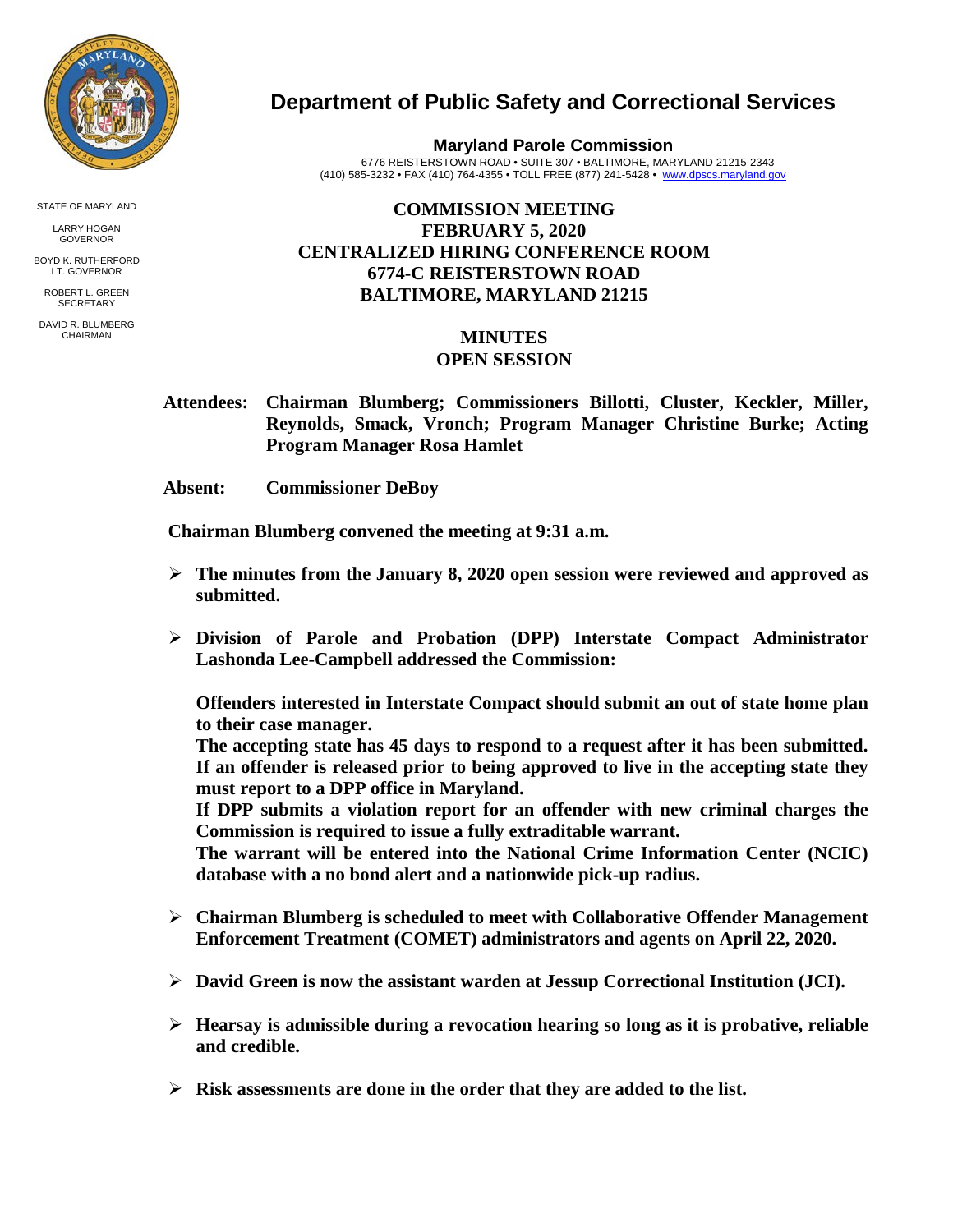

**Department of Public Safety and Correctional Services**

**Maryland Parole Commission** 6776 REISTERSTOWN ROAD • SUITE 307 • BALTIMORE, MARYLAND 21215-2343 (410) 585-3232 • FAX (410) 764-4355 • TOLL FREE (877) 241-5428 • [www.dpscs.maryland.gov](http://www.dpscs.maryland.gov/) 

## **COMMISSION MEETING FEBRUARY 5, 2020 CENTRALIZED HIRING CONFERENCE ROOM 6774-C REISTERSTOWN ROAD BALTIMORE, MARYLAND 21215**

## **MINUTES OPEN SESSION**

 **Attendees: Chairman Blumberg; Commissioners Billotti, Cluster, Keckler, Miller, Reynolds, Smack, Vronch; Program Manager Christine Burke; Acting Program Manager Rosa Hamlet**

 **Absent: Commissioner DeBoy**

 **Chairman Blumberg convened the meeting at 9:31 a.m.**

- **The minutes from the January 8, 2020 open session were reviewed and approved as submitted.**
- **Division of Parole and Probation (DPP) Interstate Compact Administrator Lashonda Lee-Campbell addressed the Commission:**

**Offenders interested in Interstate Compact should submit an out of state home plan to their case manager.** 

**The accepting state has 45 days to respond to a request after it has been submitted. If an offender is released prior to being approved to live in the accepting state they must report to a DPP office in Maryland.** 

**If DPP submits a violation report for an offender with new criminal charges the Commission is required to issue a fully extraditable warrant.** 

**The warrant will be entered into the National Crime Information Center (NCIC) database with a no bond alert and a nationwide pick-up radius.** 

- **Chairman Blumberg is scheduled to meet with Collaborative Offender Management Enforcement Treatment (COMET) administrators and agents on April 22, 2020.**
- **David Green is now the assistant warden at Jessup Correctional Institution (JCI).**
- **Hearsay is admissible during a revocation hearing so long as it is probative, reliable and credible.**
- **Risk assessments are done in the order that they are added to the list.**

STATE OF MARYLAND

LARRY HOGAN GOVERNOR

BOYD K. RUTHERFORD LT. GOVERNOR

ROBERT L. GREEN **SECRETARY** 

DAVID R. BLUMBERG CHAIRMAN